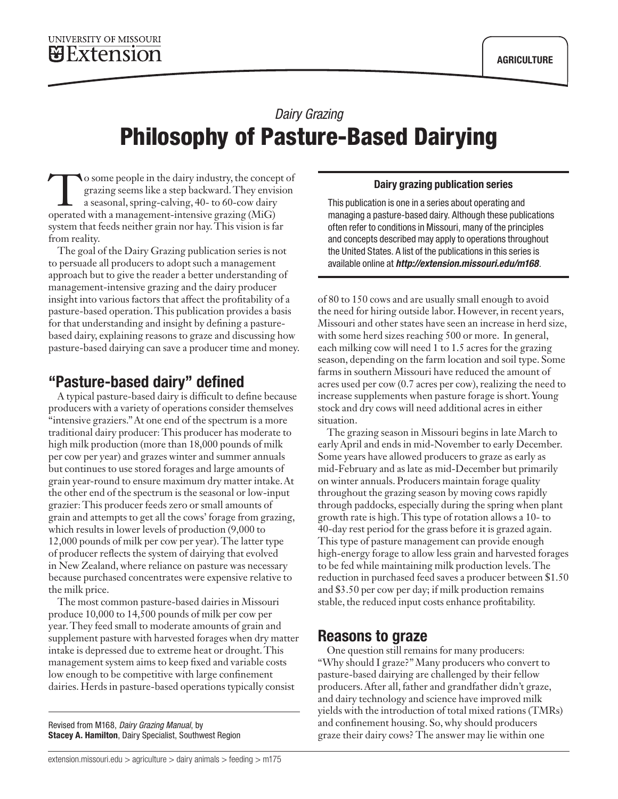# *Dairy Grazing* Philosophy of Pasture-Based Dairying

**To some people in the dairy industry, the concept of** grazing seems like a step backward. They envision a seasonal, spring-calving, 40- to 60-cow dairy operated with a management-intensive grazing (MiG) system that feeds neither grain nor hay. This vision is far from reality.

The goal of the [Dairy Grazing publication series](http://extension.missouri.edu/p/m168) is not to persuade all producers to adopt such a management approach but to give the reader a better understanding of management-intensive grazing and the dairy producer insight into various factors that affect the profitability of a pasture-based operation. This publication provides a basis for that understanding and insight by defining a pasturebased dairy, explaining reasons to graze and discussing how pasture-based dairying can save a producer time and money.

### "Pasture-based dairy" defined

A typical pasture-based dairy is difficult to define because producers with a variety of operations consider themselves "intensive graziers." At one end of the spectrum is a more traditional dairy producer: This producer has moderate to high milk production (more than 18,000 pounds of milk per cow per year) and grazes winter and summer annuals but continues to use stored forages and large amounts of grain year-round to ensure maximum dry matter intake. At the other end of the spectrum is the seasonal or low-input grazier: This producer feeds zero or small amounts of grain and attempts to get all the cows' forage from grazing, which results in lower levels of production (9,000 to 12,000 pounds of milk per cow per year). The latter type of producer reflects the system of dairying that evolved in New Zealand, where reliance on pasture was necessary because purchased concentrates were expensive relative to the milk price.

The most common pasture-based dairies in Missouri produce 10,000 to 14,500 pounds of milk per cow per year. They feed small to moderate amounts of grain and supplement pasture with harvested forages when dry matter intake is depressed due to extreme heat or drought. This management system aims to keep fixed and variable costs low enough to be competitive with large confinement dairies. Herds in pasture-based operations typically consist

Revised from M168, *Dairy Grazing Manual*, by Stacey A. Hamilton, Dairy Specialist, Southwest Region

#### and concepts described may apply to operations throughout

the United States. A list of the publications in this series is available online at *<http://extension.missouri.edu/m168>*.

This publication is one in a series about operating and managing a pasture-based dairy. Although these publications often refer to conditions in Missouri, many of the principles

Dairy grazing publication series

of 80 to 150 cows and are usually small enough to avoid the need for hiring outside labor. However, in recent years, Missouri and other states have seen an increase in herd size, with some herd sizes reaching 500 or more. In general, each milking cow will need 1 to 1.5 acres for the grazing season, depending on the farm location and soil type. Some farms in southern Missouri have reduced the amount of acres used per cow (0.7 acres per cow), realizing the need to increase supplements when pasture forage is short. Young stock and dry cows will need additional acres in either situation.

The grazing season in Missouri begins in late March to early April and ends in mid-November to early December. Some years have allowed producers to graze as early as mid-February and as late as mid-December but primarily on winter annuals. Producers maintain forage quality throughout the grazing season by moving cows rapidly through paddocks, especially during the spring when plant growth rate is high. This type of rotation allows a 10- to 40-day rest period for the grass before it is grazed again. This type of pasture management can provide enough high-energy forage to allow less grain and harvested forages to be fed while maintaining milk production levels. The reduction in purchased feed saves a producer between \$1.50 and \$3.50 per cow per day; if milk production remains stable, the reduced input costs enhance profitability.

#### Reasons to graze

One question still remains for many producers: "Why should I graze?" Many producers who convert to pasture-based dairying are challenged by their fellow producers. After all, father and grandfather didn't graze, and dairy technology and science have improved milk yields with the introduction of total mixed rations (TMRs) and confinement housing. So, why should producers graze their dairy cows? The answer may lie within one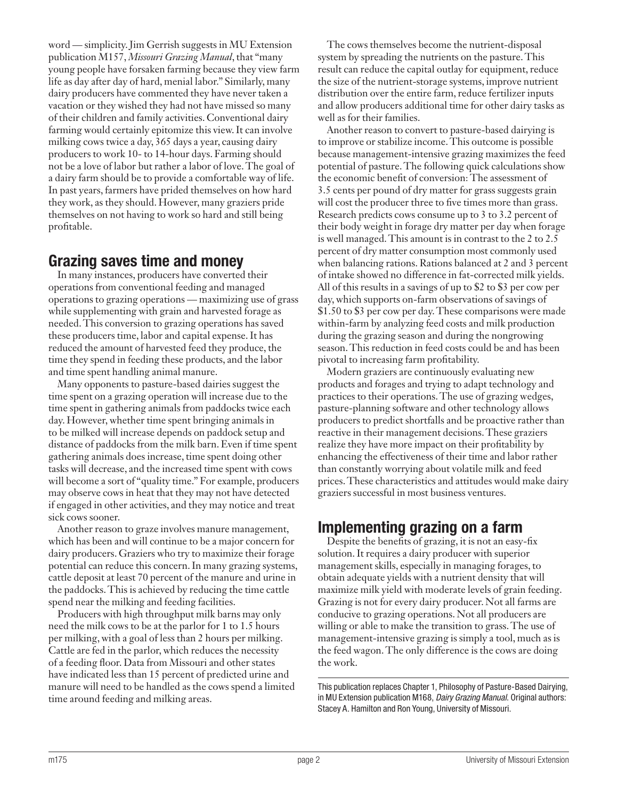word — simplicity. Jim Gerrish suggests in MU Extension publication M157, *[Missouri Grazing Manual](http://extension.missouri.edu/p/m157)*, that "many young people have forsaken farming because they view farm life as day after day of hard, menial labor." Similarly, many dairy producers have commented they have never taken a vacation or they wished they had not have missed so many of their children and family activities. Conventional dairy farming would certainly epitomize this view. It can involve milking cows twice a day, 365 days a year, causing dairy producers to work 10- to 14-hour days. Farming should not be a love of labor but rather a labor of love. The goal of a dairy farm should be to provide a comfortable way of life. In past years, farmers have prided themselves on how hard they work, as they should. However, many graziers pride themselves on not having to work so hard and still being profitable.

## Grazing saves time and money

In many instances, producers have converted their operations from conventional feeding and managed operations to grazing operations — maximizing use of grass while supplementing with grain and harvested forage as needed. This conversion to grazing operations has saved these producers time, labor and capital expense. It has reduced the amount of harvested feed they produce, the time they spend in feeding these products, and the labor and time spent handling animal manure.

Many opponents to pasture-based dairies suggest the time spent on a grazing operation will increase due to the time spent in gathering animals from paddocks twice each day. However, whether time spent bringing animals in to be milked will increase depends on paddock setup and distance of paddocks from the milk barn. Even if time spent gathering animals does increase, time spent doing other tasks will decrease, and the increased time spent with cows will become a sort of "quality time." For example, producers may observe cows in heat that they may not have detected if engaged in other activities, and they may notice and treat sick cows sooner.

Another reason to graze involves manure management, which has been and will continue to be a major concern for dairy producers. Graziers who try to maximize their forage potential can reduce this concern. In many grazing systems, cattle deposit at least 70 percent of the manure and urine in the paddocks. This is achieved by reducing the time cattle spend near the milking and feeding facilities.

Producers with high throughput milk barns may only need the milk cows to be at the parlor for 1 to 1.5 hours per milking, with a goal of less than 2 hours per milking. Cattle are fed in the parlor, which reduces the necessity of a feeding floor. Data from Missouri and other states have indicated less than 15 percent of predicted urine and manure will need to be handled as the cows spend a limited time around feeding and milking areas.

The cows themselves become the nutrient-disposal system by spreading the nutrients on the pasture. This result can reduce the capital outlay for equipment, reduce the size of the nutrient-storage systems, improve nutrient distribution over the entire farm, reduce fertilizer inputs and allow producers additional time for other dairy tasks as well as for their families.

Another reason to convert to pasture-based dairying is to improve or stabilize income. This outcome is possible because management-intensive grazing maximizes the feed potential of pasture. The following quick calculations show the economic benefit of conversion: The assessment of 3.5 cents per pound of dry matter for grass suggests grain will cost the producer three to five times more than grass. Research predicts cows consume up to 3 to 3.2 percent of their body weight in forage dry matter per day when forage is well managed. This amount is in contrast to the 2 to 2.5 percent of dry matter consumption most commonly used when balancing rations. Rations balanced at 2 and 3 percent of intake showed no difference in fat-corrected milk yields. All of this results in a savings of up to \$2 to \$3 per cow per day, which supports on-farm observations of savings of \$1.50 to \$3 per cow per day. These comparisons were made within-farm by analyzing feed costs and milk production during the grazing season and during the nongrowing season. This reduction in feed costs could be and has been pivotal to increasing farm profitability.

Modern graziers are continuously evaluating new products and forages and trying to adapt technology and practices to their operations. The use of grazing wedges, pasture-planning software and other technology allows producers to predict shortfalls and be proactive rather than reactive in their management decisions. These graziers realize they have more impact on their profitability by enhancing the effectiveness of their time and labor rather than constantly worrying about volatile milk and feed prices. These characteristics and attitudes would make dairy graziers successful in most business ventures.

# Implementing grazing on a farm

Despite the benefits of grazing, it is not an easy-fix solution. It requires a dairy producer with superior management skills, especially in managing forages, to obtain adequate yields with a nutrient density that will maximize milk yield with moderate levels of grain feeding. Grazing is not for every dairy producer. Not all farms are conducive to grazing operations. Not all producers are willing or able to make the transition to grass. The use of management-intensive grazing is simply a tool, much as is the feed wagon. The only difference is the cows are doing the work.

This publication replaces Chapter 1, Philosophy of Pasture-Based Dairying, in MU Extension publication M168, *Dairy Grazing Manual*. Original authors: Stacey A. Hamilton and Ron Young, University of Missouri.